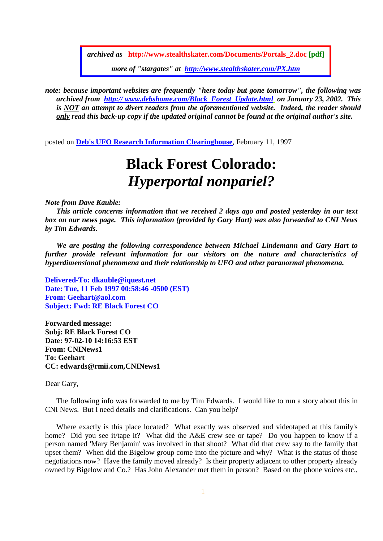*archived as* **http://www.stealthskater.com/Documents/Portals\_2.doc [pdf]** *more of "stargates" at http://www.stealthskater.com/PX.htm*

*note: because important websites are frequently "here today but gone tomorrow", the following was archived from http:// www.debshome.com/Black\_Forest\_Update.html on January 23, 2002. This is NOT an attempt to divert readers from the aforementioned website. Indeed, the reader should only read this back-up copy if the updated original cannot be found at the original author's site.* 

posted on **Deb's UFO Research Information Clearinghouse**, February 11, 1997

## **Black Forest Colorado:**  *Hyperportal nonpariel?*

*Note from Dave Kauble:* 

*This article concerns information that we received 2 days ago and posted yesterday in our text box on our news page. This information (provided by Gary Hart) was also forwarded to CNI News by Tim Edwards.* 

*We are posting the following correspondence between Michael Lindemann and Gary Hart to further provide relevant information for our visitors on the nature and characteristics of hyperdimensional phenomena and their relationship to UFO and other paranormal phenomena.* 

**Delivered-To: dkauble@iquest.net Date: Tue, 11 Feb 1997 00:58:46 -0500 (EST) From: Geehart@aol.com Subject: Fwd: RE Black Forest CO** 

**Forwarded message: Subj: RE Black Forest CO Date: 97-02-10 14:16:53 EST From: CNINews1 To: Geehart CC: edwards@rmii.com,CNINews1** 

Dear Gary,

The following info was forwarded to me by Tim Edwards. I would like to run a story about this in CNI News. But I need details and clarifications. Can you help?

Where exactly is this place located? What exactly was observed and videotaped at this family's home? Did you see it/tape it? What did the A&E crew see or tape? Do you happen to know if a person named 'Mary Benjamin' was involved in that shoot? What did that crew say to the family that upset them? When did the Bigelow group come into the picture and why? What is the status of those negotiations now? Have the family moved already? Is their property adjacent to other property already owned by Bigelow and Co.? Has John Alexander met them in person? Based on the phone voices etc.,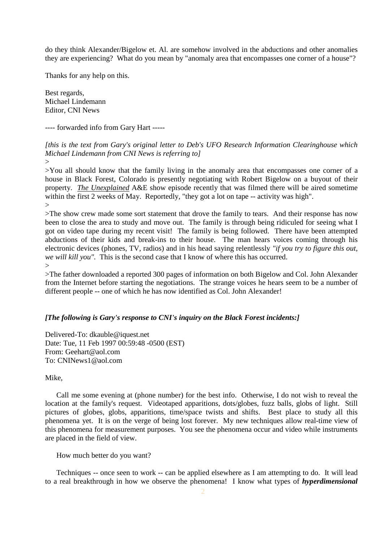do they think Alexander/Bigelow et. Al. are somehow involved in the abductions and other anomalies they are experiencing? What do you mean by "anomaly area that encompasses one corner of a house"?

Thanks for any help on this.

Best regards, Michael Lindemann Editor, CNI News

---- forwarded info from Gary Hart -----

*[this is the text from Gary's original letter to Deb's UFO Research Information Clearinghouse which Michael Lindemann from CNI News is referring to]* 

 $\geq$ 

>You all should know that the family living in the anomaly area that encompasses one corner of a house in Black Forest, Colorado is presently negotiating with Robert Bigelow on a buyout of their property. *The Unexplained* A&E show episode recently that was filmed there will be aired sometime within the first 2 weeks of May. Reportedly, "they got a lot on tape -- activity was high".  $>$ 

>The show crew made some sort statement that drove the family to tears. And their response has now been to close the area to study and move out. The family is through being ridiculed for seeing what I got on video tape during my recent visit! The family is being followed. There have been attempted abductions of their kids and break-ins to their house. The man hears voices coming through his electronic devices (phones, TV, radios) and in his head saying relentlessly *"if you try to figure this out, we will kill you".* This is the second case that I know of where this has occurred.  $\rightarrow$ 

>The father downloaded a reported 300 pages of information on both Bigelow and Col. John Alexander from the Internet before starting the negotiations. The strange voices he hears seem to be a number of different people -- one of which he has now identified as Col. John Alexander!

## *[The following is Gary's response to CNI's inquiry on the Black Forest incidents:]*

Delivered-To: dkauble@iquest.net Date: Tue, 11 Feb 1997 00:59:48 -0500 (EST) From: Geehart@aol.com To: CNINews1@aol.com

## Mike,

Call me some evening at (phone number) for the best info. Otherwise, I do not wish to reveal the location at the family's request. Videotaped apparitions, dots/globes, fuzz balls, globs of light. Still pictures of globes, globs, apparitions, time/space twists and shifts. Best place to study all this phenomena yet. It is on the verge of being lost forever. My new techniques allow real-time view of this phenomena for measurement purposes. You see the phenomena occur and video while instruments are placed in the field of view.

How much better do you want?

Techniques -- once seen to work -- can be applied elsewhere as I am attempting to do. It will lead to a real breakthrough in how we observe the phenomena! I know what types of *hyperdimensional*